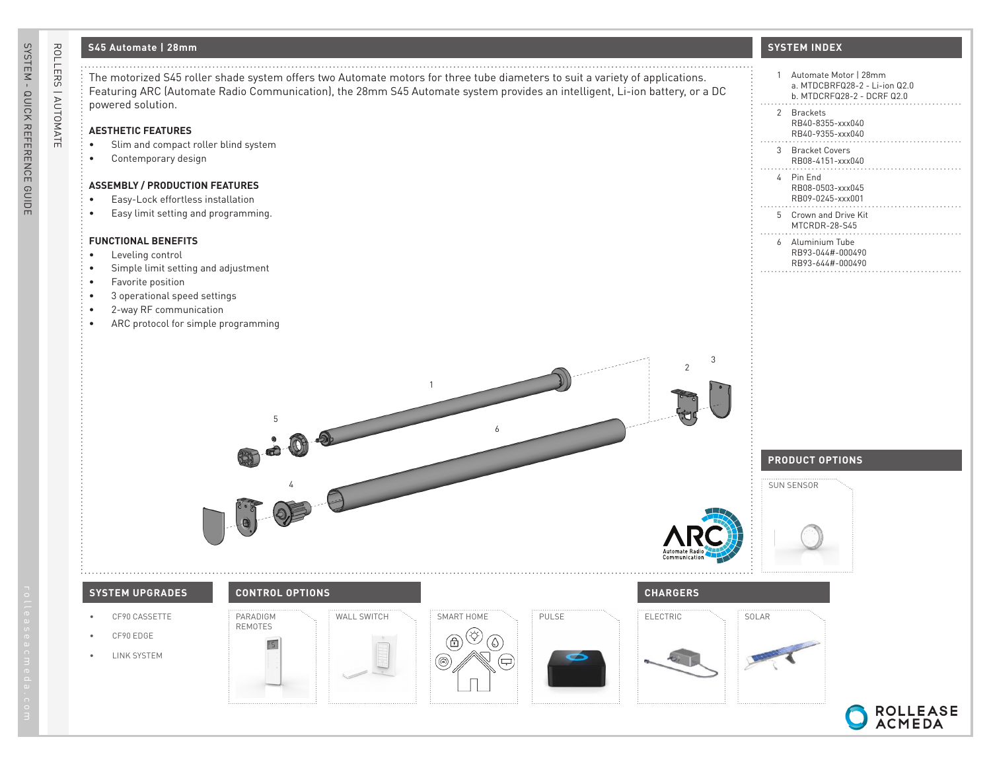## **S45 Automate | 28mm**

ROLLERS | AUTOMATE

ROLLERS | AUTOMATE

| S45 Automate   28mm                                                                                                                                                                                                                                                              | <b>SYSTEM INDEX</b>                                                                                  |
|----------------------------------------------------------------------------------------------------------------------------------------------------------------------------------------------------------------------------------------------------------------------------------|------------------------------------------------------------------------------------------------------|
| The motorized S45 roller shade system offers two Automate motors for three tube diameters to suit a variety of applications.<br>Featuring ARC (Automate Radio Communication), the 28mm S45 Automate system provides an intelligent, Li-ion battery, or a DC<br>powered solution. | Automate Motor   28mm<br>$\mathbf{1}$<br>a. MTDCBRFQ28-2 - Li-ion Q2.0<br>b. MTDCRFQ28-2 - DCRF Q2.0 |
| <b>AESTHETIC FEATURES</b>                                                                                                                                                                                                                                                        | 2 Brackets<br>RB40-8355-xxx040<br>RB40-9355-xxx040                                                   |
| Slim and compact roller blind system<br>Contemporary design                                                                                                                                                                                                                      | 3 Bracket Covers<br>RB08-4151-xxx040                                                                 |
| <b>ASSEMBLY / PRODUCTION FEATURES</b>                                                                                                                                                                                                                                            | 4 Pin End<br>RB08-0503-xxx045<br>RB09-0245-xxx001                                                    |
| Easy-Lock effortless installation<br>Easy limit setting and programming.                                                                                                                                                                                                         | 5 Crown and Drive Kit<br>MTCRDR-28-S45                                                               |
| <b>FUNCTIONAL BENEFITS</b><br>Leveling control<br>$\bullet$                                                                                                                                                                                                                      | 6 Aluminium Tube<br>RB93-044#-000490<br>RB93-644#-000490                                             |
| Simple limit setting and adjustment<br>Favorite position                                                                                                                                                                                                                         |                                                                                                      |
| 3 operational speed settings<br>2-way RF communication<br>ARC protocol for simple programming                                                                                                                                                                                    |                                                                                                      |
|                                                                                                                                                                                                                                                                                  |                                                                                                      |
| 3<br>$\overline{\phantom{a}}$<br>$\overline{1}$                                                                                                                                                                                                                                  |                                                                                                      |
| 6                                                                                                                                                                                                                                                                                |                                                                                                      |
|                                                                                                                                                                                                                                                                                  | <b>PRODUCT OPTIONS</b>                                                                               |
|                                                                                                                                                                                                                                                                                  | SUN SENSOR                                                                                           |
|                                                                                                                                                                                                                                                                                  |                                                                                                      |
|                                                                                                                                                                                                                                                                                  |                                                                                                      |
|                                                                                                                                                                                                                                                                                  |                                                                                                      |
| <b>SYSTEM UPGRADES</b><br><b>CONTROL OPTIONS</b><br><b>CHARGERS</b><br>WALL SWITCH<br>SMART HOME<br>CF90 CASSETTE<br>PARADIGM<br>PULSE<br>ELECTRIC                                                                                                                               | SOLAR                                                                                                |
| <b>REMOTES</b><br>CF90 EDGE<br>TS.                                                                                                                                                                                                                                               |                                                                                                      |
| <b>LINK SYSTEM</b>                                                                                                                                                                                                                                                               |                                                                                                      |
|                                                                                                                                                                                                                                                                                  |                                                                                                      |

ROLLEASE<br>ACMEDA

C